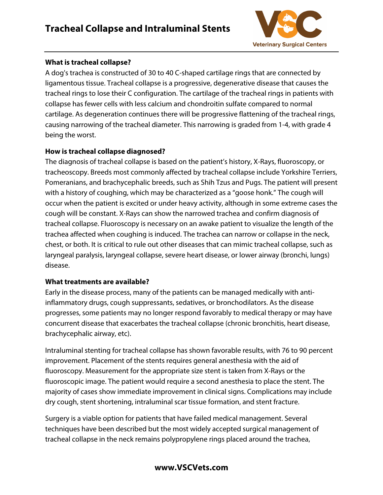# **Tracheal Collapse and Intraluminal Stents**



#### **What is tracheal collapse?**

A dog's trachea is constructed of 30 to 40 C-shaped cartilage rings that are connected by ligamentous tissue. Tracheal collapse is a progressive, degenerative disease that causes the tracheal rings to lose their C configuration. The cartilage of the tracheal rings in patients with collapse has fewer cells with less calcium and chondroitin sulfate compared to normal cartilage. As degeneration continues there will be progressive flattening of the tracheal rings, causing narrowing of the tracheal diameter. This narrowing is graded from 1-4, with grade 4 being the worst.

### **How is tracheal collapse diagnosed?**

The diagnosis of tracheal collapse is based on the patient's history, X-Rays, fluoroscopy, or tracheoscopy. Breeds most commonly affected by tracheal collapse include Yorkshire Terriers, Pomeranians, and brachycephalic breeds, such as Shih Tzus and Pugs. The patient will present with a history of coughing, which may be characterized as a "goose honk." The cough will occur when the patient is excited or under heavy activity, although in some extreme cases the cough will be constant. X-Rays can show the narrowed trachea and confirm diagnosis of tracheal collapse. Fluoroscopy is necessary on an awake patient to visualize the length of the trachea affected when coughing is induced. The trachea can narrow or collapse in the neck, chest, or both. It is critical to rule out other diseases that can mimic tracheal collapse, such as laryngeal paralysis, laryngeal collapse, severe heart disease, or lower airway (bronchi, lungs) disease.

#### **What treatments are available?**

Early in the disease process, many of the patients can be managed medically with antiinflammatory drugs, cough suppressants, sedatives, or bronchodilators. As the disease progresses, some patients may no longer respond favorably to medical therapy or may have concurrent disease that exacerbates the tracheal collapse (chronic bronchitis, heart disease, brachycephalic airway, etc).

Intraluminal stenting for tracheal collapse has shown favorable results, with 76 to 90 percent improvement. Placement of the stents requires general anesthesia with the aid of fluoroscopy. Measurement for the appropriate size stent is taken from X-Rays or the fluoroscopic image. The patient would require a second anesthesia to place the stent. The majority of cases show immediate improvement in clinical signs. Complications may include dry cough, stent shortening, intraluminal scar tissue formation, and stent fracture.

Surgery is a viable option for patients that have failed medical management. Several techniques have been described but the most widely accepted surgical management of tracheal collapse in the neck remains polypropylene rings placed around the trachea,

### **www.VSCVets.com**